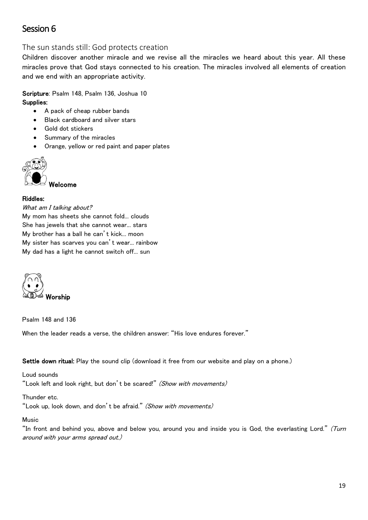# Session 6

The sun stands still: God protects creation

Children discover another miracle and we revise all the miracles we heard about this year. All these miracles prove that God stays connected to his creation. The miracles involved all elements of creation and we end with an appropriate activity.

Scripture: Psalm 148, Psalm 136, Joshua 10 Supplies:

- A pack of cheap rubber bands
- Black cardboard and silver stars
- Gold dot stickers
- Summary of the miracles
- Orange, yellow or red paint and paper plates



Welcome

## Riddles:

What am I talking about?

My mom has sheets she cannot fold... clouds She has jewels that she cannot wear... stars My brother has a ball he can't kick... moon My sister has scarves you can't wear... rainbow My dad has a light he cannot switch off... sun



Psalm 148 and 136

When the leader reads a verse, the children answer: "His love endures forever."

Settle down ritual: Play the sound clip (download it free from our website and play on a phone.)

Loud sounds "Look left and look right, but don't be scared!" (Show with movements)

Thunder etc.

"Look up, look down, and don't be afraid." (Show with movements)

## Music

"In front and behind you, above and below you, around you and inside you is God, the everlasting Lord." (Turn around with your arms spread out.)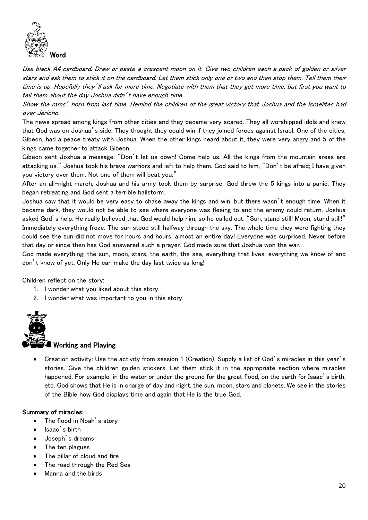

Use black A4 cardboard. Draw or paste a crescent moon on it. Give two children each a pack of golden or silver stars and ask them to stick it on the cardboard. Let them stick only one or two and then stop them. Tell them their time is up. Hopefully they'll ask for more time. Negotiate with them that they get more time, but first you want to tell them about the day Joshua didn't have enough time.

Show the rams' horn from last time. Remind the children of the great victory that Joshua and the Israelites had over Jericho.

The news spread among kings from other cities and they became very scared. They all worshipped idols and knew that God was on Joshua's side. They thought they could win if they joined forces against Israel. One of the cities, Gibeon, had a peace treaty with Joshua. When the other kings heard about it, they were very angry and 5 of the kings came together to attack Gibeon.

Gibeon sent Joshua a message: "Don't let us down! Come help us. All the kings from the mountain areas are attacking us." Joshua took his brave warriors and left to help them. God said to him, "Don't be afraid; I have given you victory over them. Not one of them will beat you."

After an all-night march, Joshua and his army took them by surprise. God threw the 5 kings into a panic. They began retreating and God sent a terrible hailstorm.

Joshua saw that it would be very easy to chase away the kings and win, but there wasn't enough time. When it became dark, they would not be able to see where everyone was fleeing to and the enemy could return. Joshua asked God's help. He really believed that God would help him, so he called out: "Sun, stand still! Moon, stand still!" Immediately everything froze. The sun stood still halfway through the sky. The whole time they were fighting they could see the sun did not move for hours and hours, almost an entire day! Everyone was surprised. Never before that day or since then has God answered such a prayer. God made sure that Joshua won the war.

God made everything; the sun, moon, stars, the earth, the sea, everything that lives, everything we know of and don't know of yet. Only He can make the day last twice as long!

Children reflect on the story:

- 1. I wonder what you liked about this story.
- 2. I wonder what was important to you in this story.



## Working and Playing

• Creation activity: Use the activity from session 1 (Creation). Supply a list of God's miracles in this year's stories. Give the children golden stickers. Let them stick it in the appropriate section where miracles happened. For example, in the water or under the ground for the great flood, on the earth for Isaac's birth, etc. God shows that He is in charge of day and night, the sun, moon, stars and planets. We see in the stories of the Bible how God displays time and again that He is the true God.

## Summary of miracles:

- The flood in Noah's story
- Isaac's birth
- Joseph's dreams
- The ten plagues
- The pillar of cloud and fire
- The road through the Red Sea
- Manna and the birds